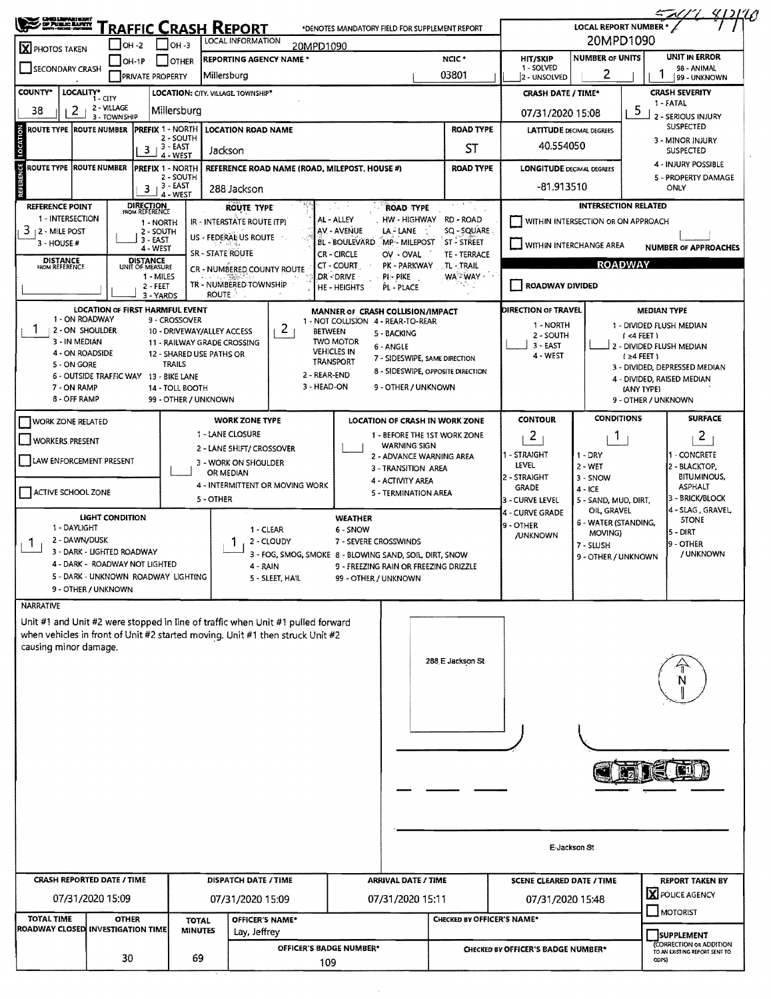| RAFFIC CRASH REPORT<br>20MPD1090<br>LOCAL INFORMATION<br><b>OH -3</b><br>OH -2<br>20MPD1090<br>X PHOTOS TAKEN<br><b>NUMBER OF UNITS</b><br>NCIC <sup>*</sup><br><b>HIT/SKIP</b><br><b>REPORTING AGENCY NAME *</b><br><b>OTHER</b><br>$IOH-1P$<br>1 - SOLVED<br><b>SECONDARY CRASH</b><br>2<br>03801<br>Millersburg<br><b>PRIVATE PROPERTY</b><br>2 - UNSOLVED<br>COUNTY*<br>LOCALITY*<br><b>LOCATION: CITY, VILLAGE, TOWNSHIP*</b><br><b>CRASH DATE / TIME*</b><br>1 - CITY<br>2 - VILLAGE<br>2<br>5<br>38<br>Millersburg<br>07/31/2020 15:08<br>3 - TOWNSHIP<br>LOCATION<br><b>ROAD TYPE</b><br><b>PREFIX 1 - NORTH</b><br>ROUTE TYPE  ROUTE NUMBER<br><b>LOCATION ROAD NAME</b><br><b>LATITUDE DECIMAL DEGREES</b><br>2 - SOUTH<br>40.554050<br>$3 - EAST$<br>ST<br>3<br>Jackson<br>4 - WEST<br>REFERENCE<br><b>ROUTE TYPE ROUTE NUMBER</b><br><b>PREFIX 1 - NORTH</b><br>REFERENCE ROAD NAME (ROAD, MILEPOST, HOUSE #)<br><b>ROAD TYPE</b><br><b>LONGITUDE DECIMAL DEGREES</b><br>2 - SOUTH<br>$3 + 3 - EAST$<br>-81.913510<br>288 Jackson<br>4 - WEST<br>DIRECTION<br>FROM REFERENCE<br>INTERSECTION RELATED<br><b>REFERENCE POINT</b><br><b>ROUTE TYPE</b><br><b>ROAD TYPE</b><br>1 - INTERSECTION<br>AL - ALLEY<br>HW - HIGHWAY<br>RD - ROAD<br>WITHIN INTERSECTION OR ON APPROACH<br>IR - INTERSTATE ROUTE (TP)<br>1 - NORTH<br>SQ -- SQUARE<br>$3 + 2 -$ MILE POST<br>AV - AVENUE<br>LA - LANE<br>2 - SOUTH<br>US - FEDERAL US ROUTE<br>$3 - EAST$<br><b>BL - BOULEVARD</b><br>MP - MILEPOST<br><b>ST - STREET</b><br>$3 - HOUSE #$<br>WITHIN INTERCHANGE AREA<br>4 - WEST<br><b>SR - STATE ROUTE</b><br><b>CR-CIRCLE</b><br>TE - TERRACE<br>OV - OVAL<br><b>DISTANCE</b><br>FROM REFERENCE<br><b>DISTANCE</b><br><b>ROADWAY</b><br>CT - COURT<br>PK - PARKWAY<br>$\Lambda$ - TRAIL<br>UNIT OF MEASURE<br>CR - NUMBERED COUNTY ROUTE<br>DR - DRIVE<br>WA <sup>2</sup> WAY -<br>1 - MILES<br>$PI - PIKE$<br>TR - NUMBERED TOWNSHIP<br>ROADWAY DIVIDED<br>2 - FEET<br>HE - HEIGHTS<br>PL - PLACE<br>ROUTE<br>3 - YARDS<br>DIRECTION OF TRAVEL<br>LOCATION OF FIRST HARMFUL EVENT<br>MANNER OF CRASH COLLISION/IMPACT<br>1 - ON ROADWAY<br>9 - CROSSOVER<br>1 - NOT COLLISION 4 - REAR-TO-REAR<br>1 - NORTH<br>2<br>2 - ON SHOULDER<br>10 - DRIVEWAY/ALLEY ACCESS<br><b>BETWEEN</b><br>5 - BACKING<br>2 - SOUTH<br>$1 < 4$ FEET $\lambda$ | UNIT IN ERROR<br>98 - ANIMAL<br>99 - UNKNOWN<br><b>CRASH SEVERITY</b> |  |  |
|------------------------------------------------------------------------------------------------------------------------------------------------------------------------------------------------------------------------------------------------------------------------------------------------------------------------------------------------------------------------------------------------------------------------------------------------------------------------------------------------------------------------------------------------------------------------------------------------------------------------------------------------------------------------------------------------------------------------------------------------------------------------------------------------------------------------------------------------------------------------------------------------------------------------------------------------------------------------------------------------------------------------------------------------------------------------------------------------------------------------------------------------------------------------------------------------------------------------------------------------------------------------------------------------------------------------------------------------------------------------------------------------------------------------------------------------------------------------------------------------------------------------------------------------------------------------------------------------------------------------------------------------------------------------------------------------------------------------------------------------------------------------------------------------------------------------------------------------------------------------------------------------------------------------------------------------------------------------------------------------------------------------------------------------------------------------------------------------------------------------------------------------------------------------------------------------------------------------------------------------------------------------------------------------------------------------------------------------|-----------------------------------------------------------------------|--|--|
|                                                                                                                                                                                                                                                                                                                                                                                                                                                                                                                                                                                                                                                                                                                                                                                                                                                                                                                                                                                                                                                                                                                                                                                                                                                                                                                                                                                                                                                                                                                                                                                                                                                                                                                                                                                                                                                                                                                                                                                                                                                                                                                                                                                                                                                                                                                                                |                                                                       |  |  |
|                                                                                                                                                                                                                                                                                                                                                                                                                                                                                                                                                                                                                                                                                                                                                                                                                                                                                                                                                                                                                                                                                                                                                                                                                                                                                                                                                                                                                                                                                                                                                                                                                                                                                                                                                                                                                                                                                                                                                                                                                                                                                                                                                                                                                                                                                                                                                |                                                                       |  |  |
|                                                                                                                                                                                                                                                                                                                                                                                                                                                                                                                                                                                                                                                                                                                                                                                                                                                                                                                                                                                                                                                                                                                                                                                                                                                                                                                                                                                                                                                                                                                                                                                                                                                                                                                                                                                                                                                                                                                                                                                                                                                                                                                                                                                                                                                                                                                                                |                                                                       |  |  |
|                                                                                                                                                                                                                                                                                                                                                                                                                                                                                                                                                                                                                                                                                                                                                                                                                                                                                                                                                                                                                                                                                                                                                                                                                                                                                                                                                                                                                                                                                                                                                                                                                                                                                                                                                                                                                                                                                                                                                                                                                                                                                                                                                                                                                                                                                                                                                |                                                                       |  |  |
|                                                                                                                                                                                                                                                                                                                                                                                                                                                                                                                                                                                                                                                                                                                                                                                                                                                                                                                                                                                                                                                                                                                                                                                                                                                                                                                                                                                                                                                                                                                                                                                                                                                                                                                                                                                                                                                                                                                                                                                                                                                                                                                                                                                                                                                                                                                                                | 1 - FATAL<br>2 - SERIOUS INJURY                                       |  |  |
|                                                                                                                                                                                                                                                                                                                                                                                                                                                                                                                                                                                                                                                                                                                                                                                                                                                                                                                                                                                                                                                                                                                                                                                                                                                                                                                                                                                                                                                                                                                                                                                                                                                                                                                                                                                                                                                                                                                                                                                                                                                                                                                                                                                                                                                                                                                                                | SUSPECTED                                                             |  |  |
|                                                                                                                                                                                                                                                                                                                                                                                                                                                                                                                                                                                                                                                                                                                                                                                                                                                                                                                                                                                                                                                                                                                                                                                                                                                                                                                                                                                                                                                                                                                                                                                                                                                                                                                                                                                                                                                                                                                                                                                                                                                                                                                                                                                                                                                                                                                                                | 3 - MINOR INJURY<br><b>SUSPECTED</b>                                  |  |  |
|                                                                                                                                                                                                                                                                                                                                                                                                                                                                                                                                                                                                                                                                                                                                                                                                                                                                                                                                                                                                                                                                                                                                                                                                                                                                                                                                                                                                                                                                                                                                                                                                                                                                                                                                                                                                                                                                                                                                                                                                                                                                                                                                                                                                                                                                                                                                                | 4 - INJURY POSSIBLE                                                   |  |  |
|                                                                                                                                                                                                                                                                                                                                                                                                                                                                                                                                                                                                                                                                                                                                                                                                                                                                                                                                                                                                                                                                                                                                                                                                                                                                                                                                                                                                                                                                                                                                                                                                                                                                                                                                                                                                                                                                                                                                                                                                                                                                                                                                                                                                                                                                                                                                                | 5 - PROPERTY DAMAGE                                                   |  |  |
|                                                                                                                                                                                                                                                                                                                                                                                                                                                                                                                                                                                                                                                                                                                                                                                                                                                                                                                                                                                                                                                                                                                                                                                                                                                                                                                                                                                                                                                                                                                                                                                                                                                                                                                                                                                                                                                                                                                                                                                                                                                                                                                                                                                                                                                                                                                                                | ONLY                                                                  |  |  |
|                                                                                                                                                                                                                                                                                                                                                                                                                                                                                                                                                                                                                                                                                                                                                                                                                                                                                                                                                                                                                                                                                                                                                                                                                                                                                                                                                                                                                                                                                                                                                                                                                                                                                                                                                                                                                                                                                                                                                                                                                                                                                                                                                                                                                                                                                                                                                |                                                                       |  |  |
|                                                                                                                                                                                                                                                                                                                                                                                                                                                                                                                                                                                                                                                                                                                                                                                                                                                                                                                                                                                                                                                                                                                                                                                                                                                                                                                                                                                                                                                                                                                                                                                                                                                                                                                                                                                                                                                                                                                                                                                                                                                                                                                                                                                                                                                                                                                                                |                                                                       |  |  |
|                                                                                                                                                                                                                                                                                                                                                                                                                                                                                                                                                                                                                                                                                                                                                                                                                                                                                                                                                                                                                                                                                                                                                                                                                                                                                                                                                                                                                                                                                                                                                                                                                                                                                                                                                                                                                                                                                                                                                                                                                                                                                                                                                                                                                                                                                                                                                | <b>NUMBER OF APPROACHES</b>                                           |  |  |
|                                                                                                                                                                                                                                                                                                                                                                                                                                                                                                                                                                                                                                                                                                                                                                                                                                                                                                                                                                                                                                                                                                                                                                                                                                                                                                                                                                                                                                                                                                                                                                                                                                                                                                                                                                                                                                                                                                                                                                                                                                                                                                                                                                                                                                                                                                                                                |                                                                       |  |  |
|                                                                                                                                                                                                                                                                                                                                                                                                                                                                                                                                                                                                                                                                                                                                                                                                                                                                                                                                                                                                                                                                                                                                                                                                                                                                                                                                                                                                                                                                                                                                                                                                                                                                                                                                                                                                                                                                                                                                                                                                                                                                                                                                                                                                                                                                                                                                                |                                                                       |  |  |
|                                                                                                                                                                                                                                                                                                                                                                                                                                                                                                                                                                                                                                                                                                                                                                                                                                                                                                                                                                                                                                                                                                                                                                                                                                                                                                                                                                                                                                                                                                                                                                                                                                                                                                                                                                                                                                                                                                                                                                                                                                                                                                                                                                                                                                                                                                                                                |                                                                       |  |  |
|                                                                                                                                                                                                                                                                                                                                                                                                                                                                                                                                                                                                                                                                                                                                                                                                                                                                                                                                                                                                                                                                                                                                                                                                                                                                                                                                                                                                                                                                                                                                                                                                                                                                                                                                                                                                                                                                                                                                                                                                                                                                                                                                                                                                                                                                                                                                                | <b>MEDIAN TYPE</b>                                                    |  |  |
|                                                                                                                                                                                                                                                                                                                                                                                                                                                                                                                                                                                                                                                                                                                                                                                                                                                                                                                                                                                                                                                                                                                                                                                                                                                                                                                                                                                                                                                                                                                                                                                                                                                                                                                                                                                                                                                                                                                                                                                                                                                                                                                                                                                                                                                                                                                                                | 1 - DIVIDED FLUSH MEDIAN                                              |  |  |
| 3 - IN MEDIAN<br><b>TWO MOTOR</b><br>11 - RAILWAY GRADE CROSSING<br>$3 - EAST$<br>6 - ANGLE                                                                                                                                                                                                                                                                                                                                                                                                                                                                                                                                                                                                                                                                                                                                                                                                                                                                                                                                                                                                                                                                                                                                                                                                                                                                                                                                                                                                                                                                                                                                                                                                                                                                                                                                                                                                                                                                                                                                                                                                                                                                                                                                                                                                                                                    | 2 - DIVIDED FLUSH MEDIAN                                              |  |  |
| <b>VEHICLES IN</b><br>4 - ON ROADSIDE<br>12 - SHARED USE PATHS OR<br>4 - WEST<br>7 - SIDESWIPE, SAME DIRECTION<br>TRANSPORT<br><b>TRAILS</b><br>5 - ON GORE                                                                                                                                                                                                                                                                                                                                                                                                                                                                                                                                                                                                                                                                                                                                                                                                                                                                                                                                                                                                                                                                                                                                                                                                                                                                                                                                                                                                                                                                                                                                                                                                                                                                                                                                                                                                                                                                                                                                                                                                                                                                                                                                                                                    | $(24$ FEET)                                                           |  |  |
| 8 - SIDESWIPE, OPPOSITE DIRECTION<br>2 - REAR-END<br>6 - OUTSIDE TRAFFIC WAY 13 - BIKE LANE                                                                                                                                                                                                                                                                                                                                                                                                                                                                                                                                                                                                                                                                                                                                                                                                                                                                                                                                                                                                                                                                                                                                                                                                                                                                                                                                                                                                                                                                                                                                                                                                                                                                                                                                                                                                                                                                                                                                                                                                                                                                                                                                                                                                                                                    | 3 - DIVIDED, DEPRESSED MEDIAN<br>4 - DIVIDED, RAISED MEDIAN           |  |  |
| 3 - HEAD-ON<br>9 - OTHER / UNKNOWN<br>7 - ON RAMP<br>14 - TOLL BOOTH<br>8 - OFF RAMP<br>99 - OTHER / UNKNOWN                                                                                                                                                                                                                                                                                                                                                                                                                                                                                                                                                                                                                                                                                                                                                                                                                                                                                                                                                                                                                                                                                                                                                                                                                                                                                                                                                                                                                                                                                                                                                                                                                                                                                                                                                                                                                                                                                                                                                                                                                                                                                                                                                                                                                                   | (ANY TYPE)<br>9 - OTHER / UNKNOWN                                     |  |  |
| <b>CONDITIONS</b>                                                                                                                                                                                                                                                                                                                                                                                                                                                                                                                                                                                                                                                                                                                                                                                                                                                                                                                                                                                                                                                                                                                                                                                                                                                                                                                                                                                                                                                                                                                                                                                                                                                                                                                                                                                                                                                                                                                                                                                                                                                                                                                                                                                                                                                                                                                              | <b>SURFACE</b>                                                        |  |  |
| <b>CONTOUR</b><br><b>WORK ZONE TYPE</b><br>LOCATION OF CRASH IN WORK ZONE<br><b>WORK ZONE RELATED</b><br>1 - LANE CLOSURE<br>1 - BEFORE THE 1ST WORK ZONE                                                                                                                                                                                                                                                                                                                                                                                                                                                                                                                                                                                                                                                                                                                                                                                                                                                                                                                                                                                                                                                                                                                                                                                                                                                                                                                                                                                                                                                                                                                                                                                                                                                                                                                                                                                                                                                                                                                                                                                                                                                                                                                                                                                      |                                                                       |  |  |
| $\overline{2}$<br>T.<br><b>WORKERS PRESENT</b><br><b>WARNING SIGN</b><br>2 - LANE SHIFT/ CROSSOVER                                                                                                                                                                                                                                                                                                                                                                                                                                                                                                                                                                                                                                                                                                                                                                                                                                                                                                                                                                                                                                                                                                                                                                                                                                                                                                                                                                                                                                                                                                                                                                                                                                                                                                                                                                                                                                                                                                                                                                                                                                                                                                                                                                                                                                             | $\mathbf{2}$                                                          |  |  |
| 1 - STRAIGHT<br>$1 - DRY$<br>2 - ADVANCE WARNING AREA<br>LAW ENFORCEMENT PRESENT<br>3 - WORK ON SHOULDER<br>LEVEL<br>$2 - WET$                                                                                                                                                                                                                                                                                                                                                                                                                                                                                                                                                                                                                                                                                                                                                                                                                                                                                                                                                                                                                                                                                                                                                                                                                                                                                                                                                                                                                                                                                                                                                                                                                                                                                                                                                                                                                                                                                                                                                                                                                                                                                                                                                                                                                 | 1 - CONCRETE<br>2 - BLACKTOP,                                         |  |  |
| 3 - TRANSITION AREA<br>OR MEDIAN<br>2 - STRAIGHT<br>3 - SNOW<br>4 - ACTIVITY AREA                                                                                                                                                                                                                                                                                                                                                                                                                                                                                                                                                                                                                                                                                                                                                                                                                                                                                                                                                                                                                                                                                                                                                                                                                                                                                                                                                                                                                                                                                                                                                                                                                                                                                                                                                                                                                                                                                                                                                                                                                                                                                                                                                                                                                                                              | <b>BITUMINOUS,</b>                                                    |  |  |
| 4 - INTERMITTENT OR MOVING WORK<br>GRADE<br>$4 - ICE$<br>ACTIVE SCHOOL ZONE<br>5 - TERMINATION AREA<br>5 - OTHER<br>3 - CURVE LEVEL                                                                                                                                                                                                                                                                                                                                                                                                                                                                                                                                                                                                                                                                                                                                                                                                                                                                                                                                                                                                                                                                                                                                                                                                                                                                                                                                                                                                                                                                                                                                                                                                                                                                                                                                                                                                                                                                                                                                                                                                                                                                                                                                                                                                            | <b>ASPHALT</b><br>3 - BRICK/BLOCK                                     |  |  |
| 5 - SAND, MUD, DIRT,<br>OIL, GRAVEL<br>4 - CURVE GRADE                                                                                                                                                                                                                                                                                                                                                                                                                                                                                                                                                                                                                                                                                                                                                                                                                                                                                                                                                                                                                                                                                                                                                                                                                                                                                                                                                                                                                                                                                                                                                                                                                                                                                                                                                                                                                                                                                                                                                                                                                                                                                                                                                                                                                                                                                         | 4 - SLAG, GRAVEL                                                      |  |  |
| <b>LIGHT CONDITION</b><br><b>WEATHER</b><br><b>6 - WATER (STANDING,</b><br>9 - OTHER<br>1 - DAYLIGHT<br>1 - CLEAR<br>6 - SNOW<br>MOVING)                                                                                                                                                                                                                                                                                                                                                                                                                                                                                                                                                                                                                                                                                                                                                                                                                                                                                                                                                                                                                                                                                                                                                                                                                                                                                                                                                                                                                                                                                                                                                                                                                                                                                                                                                                                                                                                                                                                                                                                                                                                                                                                                                                                                       | <b>STONE</b><br>5 - DIRT                                              |  |  |
| <b>JUNKNOWN</b><br>2 - DAWN/DUSK<br>2 - CLOUDY<br>7 - SEVERE CROSSWINDS<br>Т.<br>7 - SLUSH                                                                                                                                                                                                                                                                                                                                                                                                                                                                                                                                                                                                                                                                                                                                                                                                                                                                                                                                                                                                                                                                                                                                                                                                                                                                                                                                                                                                                                                                                                                                                                                                                                                                                                                                                                                                                                                                                                                                                                                                                                                                                                                                                                                                                                                     | 9 - OTHER                                                             |  |  |
| 3 - DARK - LIGHTED ROADWAY<br>3 - FOG, SMOG, SMOKE 8 - BLOWING SAND, SOIL, DIRT, SNOW<br>9 - OTHER / UNKNOWN<br>4 - DARK - ROADWAY NOT LIGHTED<br>9 - FREEZING RAIN OR FREEZING DRIZZLE<br>4 - RAIN                                                                                                                                                                                                                                                                                                                                                                                                                                                                                                                                                                                                                                                                                                                                                                                                                                                                                                                                                                                                                                                                                                                                                                                                                                                                                                                                                                                                                                                                                                                                                                                                                                                                                                                                                                                                                                                                                                                                                                                                                                                                                                                                            | / UNKNOWN                                                             |  |  |
| 5 - DARK - UNKNOWN ROADWAY LIGHTING<br>5 - SLEET, HAIL<br>99 - OTHER / UNKNOWN                                                                                                                                                                                                                                                                                                                                                                                                                                                                                                                                                                                                                                                                                                                                                                                                                                                                                                                                                                                                                                                                                                                                                                                                                                                                                                                                                                                                                                                                                                                                                                                                                                                                                                                                                                                                                                                                                                                                                                                                                                                                                                                                                                                                                                                                 |                                                                       |  |  |
| 9 - OTHER / UNKNOWN                                                                                                                                                                                                                                                                                                                                                                                                                                                                                                                                                                                                                                                                                                                                                                                                                                                                                                                                                                                                                                                                                                                                                                                                                                                                                                                                                                                                                                                                                                                                                                                                                                                                                                                                                                                                                                                                                                                                                                                                                                                                                                                                                                                                                                                                                                                            |                                                                       |  |  |
| <b>NARRATIVE</b>                                                                                                                                                                                                                                                                                                                                                                                                                                                                                                                                                                                                                                                                                                                                                                                                                                                                                                                                                                                                                                                                                                                                                                                                                                                                                                                                                                                                                                                                                                                                                                                                                                                                                                                                                                                                                                                                                                                                                                                                                                                                                                                                                                                                                                                                                                                               |                                                                       |  |  |
| Unit #1 and Unit #2 were stopped in line of traffic when Unit #1 pulled forward<br>when vehicles in front of Unit #2 started moving. Unit #1 then struck Unit #2                                                                                                                                                                                                                                                                                                                                                                                                                                                                                                                                                                                                                                                                                                                                                                                                                                                                                                                                                                                                                                                                                                                                                                                                                                                                                                                                                                                                                                                                                                                                                                                                                                                                                                                                                                                                                                                                                                                                                                                                                                                                                                                                                                               |                                                                       |  |  |
| causing minor damage.                                                                                                                                                                                                                                                                                                                                                                                                                                                                                                                                                                                                                                                                                                                                                                                                                                                                                                                                                                                                                                                                                                                                                                                                                                                                                                                                                                                                                                                                                                                                                                                                                                                                                                                                                                                                                                                                                                                                                                                                                                                                                                                                                                                                                                                                                                                          |                                                                       |  |  |
| 288 E Jackson St.                                                                                                                                                                                                                                                                                                                                                                                                                                                                                                                                                                                                                                                                                                                                                                                                                                                                                                                                                                                                                                                                                                                                                                                                                                                                                                                                                                                                                                                                                                                                                                                                                                                                                                                                                                                                                                                                                                                                                                                                                                                                                                                                                                                                                                                                                                                              |                                                                       |  |  |
|                                                                                                                                                                                                                                                                                                                                                                                                                                                                                                                                                                                                                                                                                                                                                                                                                                                                                                                                                                                                                                                                                                                                                                                                                                                                                                                                                                                                                                                                                                                                                                                                                                                                                                                                                                                                                                                                                                                                                                                                                                                                                                                                                                                                                                                                                                                                                |                                                                       |  |  |
|                                                                                                                                                                                                                                                                                                                                                                                                                                                                                                                                                                                                                                                                                                                                                                                                                                                                                                                                                                                                                                                                                                                                                                                                                                                                                                                                                                                                                                                                                                                                                                                                                                                                                                                                                                                                                                                                                                                                                                                                                                                                                                                                                                                                                                                                                                                                                |                                                                       |  |  |
|                                                                                                                                                                                                                                                                                                                                                                                                                                                                                                                                                                                                                                                                                                                                                                                                                                                                                                                                                                                                                                                                                                                                                                                                                                                                                                                                                                                                                                                                                                                                                                                                                                                                                                                                                                                                                                                                                                                                                                                                                                                                                                                                                                                                                                                                                                                                                |                                                                       |  |  |
|                                                                                                                                                                                                                                                                                                                                                                                                                                                                                                                                                                                                                                                                                                                                                                                                                                                                                                                                                                                                                                                                                                                                                                                                                                                                                                                                                                                                                                                                                                                                                                                                                                                                                                                                                                                                                                                                                                                                                                                                                                                                                                                                                                                                                                                                                                                                                |                                                                       |  |  |
|                                                                                                                                                                                                                                                                                                                                                                                                                                                                                                                                                                                                                                                                                                                                                                                                                                                                                                                                                                                                                                                                                                                                                                                                                                                                                                                                                                                                                                                                                                                                                                                                                                                                                                                                                                                                                                                                                                                                                                                                                                                                                                                                                                                                                                                                                                                                                |                                                                       |  |  |
|                                                                                                                                                                                                                                                                                                                                                                                                                                                                                                                                                                                                                                                                                                                                                                                                                                                                                                                                                                                                                                                                                                                                                                                                                                                                                                                                                                                                                                                                                                                                                                                                                                                                                                                                                                                                                                                                                                                                                                                                                                                                                                                                                                                                                                                                                                                                                |                                                                       |  |  |
|                                                                                                                                                                                                                                                                                                                                                                                                                                                                                                                                                                                                                                                                                                                                                                                                                                                                                                                                                                                                                                                                                                                                                                                                                                                                                                                                                                                                                                                                                                                                                                                                                                                                                                                                                                                                                                                                                                                                                                                                                                                                                                                                                                                                                                                                                                                                                |                                                                       |  |  |
|                                                                                                                                                                                                                                                                                                                                                                                                                                                                                                                                                                                                                                                                                                                                                                                                                                                                                                                                                                                                                                                                                                                                                                                                                                                                                                                                                                                                                                                                                                                                                                                                                                                                                                                                                                                                                                                                                                                                                                                                                                                                                                                                                                                                                                                                                                                                                |                                                                       |  |  |
|                                                                                                                                                                                                                                                                                                                                                                                                                                                                                                                                                                                                                                                                                                                                                                                                                                                                                                                                                                                                                                                                                                                                                                                                                                                                                                                                                                                                                                                                                                                                                                                                                                                                                                                                                                                                                                                                                                                                                                                                                                                                                                                                                                                                                                                                                                                                                |                                                                       |  |  |
|                                                                                                                                                                                                                                                                                                                                                                                                                                                                                                                                                                                                                                                                                                                                                                                                                                                                                                                                                                                                                                                                                                                                                                                                                                                                                                                                                                                                                                                                                                                                                                                                                                                                                                                                                                                                                                                                                                                                                                                                                                                                                                                                                                                                                                                                                                                                                |                                                                       |  |  |
| E-Jackson St                                                                                                                                                                                                                                                                                                                                                                                                                                                                                                                                                                                                                                                                                                                                                                                                                                                                                                                                                                                                                                                                                                                                                                                                                                                                                                                                                                                                                                                                                                                                                                                                                                                                                                                                                                                                                                                                                                                                                                                                                                                                                                                                                                                                                                                                                                                                   |                                                                       |  |  |
| CRASH REPORTED DATE / TIME<br><b>DISPATCH DATE / TIME</b><br><b>ARRIVAL DATE / TIME</b><br><b>SCENE CLEARED DATE / TIME</b>                                                                                                                                                                                                                                                                                                                                                                                                                                                                                                                                                                                                                                                                                                                                                                                                                                                                                                                                                                                                                                                                                                                                                                                                                                                                                                                                                                                                                                                                                                                                                                                                                                                                                                                                                                                                                                                                                                                                                                                                                                                                                                                                                                                                                    | <b>REPORT TAKEN BY</b>                                                |  |  |
|                                                                                                                                                                                                                                                                                                                                                                                                                                                                                                                                                                                                                                                                                                                                                                                                                                                                                                                                                                                                                                                                                                                                                                                                                                                                                                                                                                                                                                                                                                                                                                                                                                                                                                                                                                                                                                                                                                                                                                                                                                                                                                                                                                                                                                                                                                                                                | X POLICE AGENCY                                                       |  |  |
| 07/31/2020 15:09<br>07/31/2020 15:09<br>07/31/2020 15:11<br>07/31/2020 15:48                                                                                                                                                                                                                                                                                                                                                                                                                                                                                                                                                                                                                                                                                                                                                                                                                                                                                                                                                                                                                                                                                                                                                                                                                                                                                                                                                                                                                                                                                                                                                                                                                                                                                                                                                                                                                                                                                                                                                                                                                                                                                                                                                                                                                                                                   | MOTORIST                                                              |  |  |
| <b>OTHER</b><br>OFFICER'S NAME*<br>CHECKED BY OFFICER'S NAME*<br><b>TOTAL</b>                                                                                                                                                                                                                                                                                                                                                                                                                                                                                                                                                                                                                                                                                                                                                                                                                                                                                                                                                                                                                                                                                                                                                                                                                                                                                                                                                                                                                                                                                                                                                                                                                                                                                                                                                                                                                                                                                                                                                                                                                                                                                                                                                                                                                                                                  | SUPPLEMENT                                                            |  |  |
| <b>TOTAL TIME</b><br>ROADWAY CLOSED INVESTIGATION TIME<br><b>MINUTES</b><br>Lay, Jeffrey                                                                                                                                                                                                                                                                                                                                                                                                                                                                                                                                                                                                                                                                                                                                                                                                                                                                                                                                                                                                                                                                                                                                                                                                                                                                                                                                                                                                                                                                                                                                                                                                                                                                                                                                                                                                                                                                                                                                                                                                                                                                                                                                                                                                                                                       | CORRECTION OR ADDITION<br>TO AN EXISTING REPORT SENT TO               |  |  |
| OFFICER'S BADGE NUMBER*<br>CHECKED BY OFFICER'S BADGE NUMBER*<br>30<br>69<br>109                                                                                                                                                                                                                                                                                                                                                                                                                                                                                                                                                                                                                                                                                                                                                                                                                                                                                                                                                                                                                                                                                                                                                                                                                                                                                                                                                                                                                                                                                                                                                                                                                                                                                                                                                                                                                                                                                                                                                                                                                                                                                                                                                                                                                                                               | COPS)                                                                 |  |  |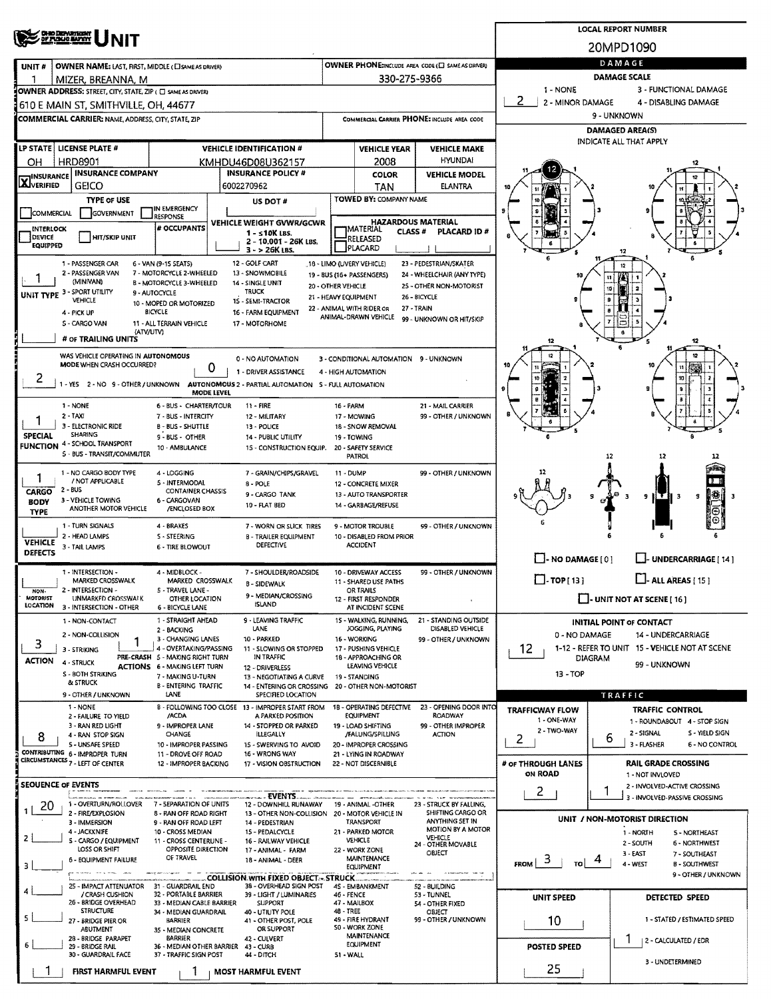|                                                                                                                                                                                                 | <b>OHO DEPARTMENT</b><br>OF FUNJE MAYOY                                 |                                                           | <b>LOCAL REPORT NUMBER</b> |                                                                        |                                                                              |                                                              |                                                                |                                                                 |                                                       |                                                        |  |  |  |  |  |
|-------------------------------------------------------------------------------------------------------------------------------------------------------------------------------------------------|-------------------------------------------------------------------------|-----------------------------------------------------------|----------------------------|------------------------------------------------------------------------|------------------------------------------------------------------------------|--------------------------------------------------------------|----------------------------------------------------------------|-----------------------------------------------------------------|-------------------------------------------------------|--------------------------------------------------------|--|--|--|--|--|
|                                                                                                                                                                                                 |                                                                         |                                                           | 20MPD1090                  |                                                                        |                                                                              |                                                              |                                                                |                                                                 |                                                       |                                                        |  |  |  |  |  |
| UNIT#                                                                                                                                                                                           | OWNER NAME: LAST, FIRST, MIDDLE (CI SAME AS DRIVER)                     |                                                           |                            |                                                                        |                                                                              |                                                              | OWNER PHONE:INCLUDE AREA CODE (E) SAME AS GRIVER!              | DAMAGE                                                          |                                                       |                                                        |  |  |  |  |  |
| ำ                                                                                                                                                                                               | MIZER, BREANNA, M                                                       |                                                           |                            |                                                                        |                                                                              | 330-275-9366                                                 |                                                                | <b>DAMAGE SCALE</b>                                             |                                                       |                                                        |  |  |  |  |  |
| 1 - NONE<br>3 - FUNCTIONAL DAMAGE<br>OWNER ADDRESS: STREET, CITY, STATE, ZIP ( C SAME AS DRIVER)<br>2<br>2 - MINOR DAMAGE<br>4 - DISABLING DAMAGE<br>610 E MAIN ST, SMITHVILLE, OH, 44677       |                                                                         |                                                           |                            |                                                                        |                                                                              |                                                              |                                                                |                                                                 |                                                       |                                                        |  |  |  |  |  |
|                                                                                                                                                                                                 | <b>COMMERCIAL CARRIER: NAME, ADDRESS, CITY, STATE, ZIP</b>              |                                                           |                            |                                                                        | COMMERCIAL CARRIER PHONE: INCLUDE AREA CODE                                  |                                                              |                                                                |                                                                 | 9 - UNKNOWN                                           |                                                        |  |  |  |  |  |
|                                                                                                                                                                                                 |                                                                         |                                                           |                            |                                                                        |                                                                              |                                                              |                                                                | <b>DAMAGED AREA(S)</b>                                          |                                                       |                                                        |  |  |  |  |  |
|                                                                                                                                                                                                 | LP STATE   LICENSE PLATE #                                              |                                                           |                            | <b>VEHICLE IDENTIFICATION #</b>                                        |                                                                              | <b>VEHICLE YEAR</b>                                          | <b>VEHICLE MAKE</b>                                            | INDICATE ALL THAT APPLY                                         |                                                       |                                                        |  |  |  |  |  |
| OН                                                                                                                                                                                              | <b>HRD8901</b>                                                          |                                                           |                            | KMHDU46D08U362157                                                      |                                                                              | 2008                                                         | <b>HYUNDAI</b>                                                 |                                                                 |                                                       |                                                        |  |  |  |  |  |
| <b>INSURANCE COMPANY</b><br><b>INSURANCE POLICY #</b><br><b>INSURANCE</b><br><b>AJVERIFIED</b><br>6002270962                                                                                    |                                                                         |                                                           |                            |                                                                        |                                                                              | <b>COLOR</b>                                                 | <b>VEHICLE MODEL</b>                                           |                                                                 |                                                       |                                                        |  |  |  |  |  |
|                                                                                                                                                                                                 | <b>GEICO</b><br><b>TYPE OF USE</b>                                      |                                                           |                            | US DOT #                                                               |                                                                              | TAN<br>TOWED BY: COMPANY NAME                                | ELANTRA                                                        |                                                                 |                                                       |                                                        |  |  |  |  |  |
| COMMERCIAL                                                                                                                                                                                      | GOVERNMENT                                                              | IN EMERGENCY<br>RESPONSE                                  |                            |                                                                        |                                                                              |                                                              |                                                                |                                                                 |                                                       |                                                        |  |  |  |  |  |
| INTERLOCK                                                                                                                                                                                       |                                                                         | # OCCUPANTS                                               |                            | VEHICLE WEIGHT GVWR/GCWR<br>1 - s 10K LBS.                             |                                                                              | <b>HAZARDOUS MATERIAL</b><br> MATERIAL<br>CLASS <sup>#</sup> | PLACARD ID #                                                   |                                                                 |                                                       |                                                        |  |  |  |  |  |
| DEVICE<br>EQUIPPED                                                                                                                                                                              | <b>HIT/SKIP UNIT</b>                                                    |                                                           |                            | 2 - 10.001 - 26K LBS.<br>3 - > 26K LBS.                                | RELEASED<br>PLACARD                                                          |                                                              |                                                                |                                                                 |                                                       |                                                        |  |  |  |  |  |
| 12 - GOLF CART<br>18 - LIMO (UVERY VEHICLE)<br>23 - PEDESTRIAN/SKATER<br>1 - PASSENGER CAR<br>6 - VAN (9-15 SEATS)<br>12                                                                        |                                                                         |                                                           |                            |                                                                        |                                                                              |                                                              |                                                                |                                                                 |                                                       |                                                        |  |  |  |  |  |
| 2 - PASSENGER VAN<br>7 - MOTORCYCLE 2-WHEELED<br>13 - SNOWMOBILE<br>24 - WHEELCHAIR (ANY TYPE)<br>19 - BUS (16+ PASSENGERS)<br>(MINIVAN)<br><b>B - MOTORCYCLE 3-WHEELED</b><br>14 - SINGLE UNIT |                                                                         |                                                           |                            |                                                                        |                                                                              |                                                              |                                                                |                                                                 |                                                       |                                                        |  |  |  |  |  |
|                                                                                                                                                                                                 | UNIT TYPE 3 - SPORT UTILITY<br>VEHICLE                                  | 9 - AUTOCYCLE                                             |                            | <b>TRUCK</b>                                                           | 20 - OTHER VEHICLE<br>21 - HEAVY EQUIPMENT                                   |                                                              | 25 - OTHER NON-MOTORIST<br>26 - BICYCLE                        |                                                                 | 10                                                    |                                                        |  |  |  |  |  |
|                                                                                                                                                                                                 | 4 - PICK UP                                                             | 10 - MOPED OR MOTORIZED<br><b>BICYCLE</b>                 |                            | 15 - SEMI-TRACTOR<br>16 - FARM EQUIPMENT                               |                                                                              | 22 - ANIMAL WITH RIDER OR<br>ANIMAL-DRAWN VEHICLE            | 27 - TRAIN                                                     |                                                                 |                                                       |                                                        |  |  |  |  |  |
|                                                                                                                                                                                                 | 5 - CARGO VAN<br>(ATV/UTV)                                              | 11 - ALL TERRAIN VEHICLE                                  |                            | 17 - MOTORHOME                                                         |                                                                              |                                                              | 99 - UNKNOWN OR HIT/SKIP                                       |                                                                 |                                                       |                                                        |  |  |  |  |  |
|                                                                                                                                                                                                 | # OF TRAILING UNITS                                                     |                                                           |                            |                                                                        |                                                                              |                                                              |                                                                | 12                                                              |                                                       | 12                                                     |  |  |  |  |  |
|                                                                                                                                                                                                 | WAS VEHICLE OPERATING IN AUTONOMOUS<br><b>MODE WHEN CRASH OCCURRED?</b> |                                                           |                            | 0 - NO AUTOMATION                                                      |                                                                              | 3 - CONDITIONAL AUTOMATION 9 - UNKNOWN                       |                                                                |                                                                 |                                                       |                                                        |  |  |  |  |  |
| Ζ                                                                                                                                                                                               |                                                                         |                                                           | 0<br>1 - DRIVER ASSISTANCE |                                                                        |                                                                              |                                                              |                                                                |                                                                 |                                                       |                                                        |  |  |  |  |  |
|                                                                                                                                                                                                 | 1 - YES 2 - NO 9 - OTHER / UNKNOWN                                      |                                                           | <b>MODE LEVEL</b>          | AUTONOMOUS 2 - PARTIAL AUTOMATION 5 - FULL AUTOMATION                  |                                                                              |                                                              |                                                                |                                                                 |                                                       |                                                        |  |  |  |  |  |
|                                                                                                                                                                                                 | 1 - NONE                                                                | 6 - BUS - CHARTER/TOUR                                    |                            | $11 - FIRE$                                                            | 16 - FARM                                                                    |                                                              | 21 - MAIL CARRIER                                              |                                                                 |                                                       |                                                        |  |  |  |  |  |
|                                                                                                                                                                                                 | 2 - TAXI<br>3 - ELECTRONIC RIDE                                         | 7 - BUS - INTERCITY<br><b>B-BUS-SHUTTLE</b>               |                            | 12 - MILITARY<br>13 - POLICE                                           |                                                                              | 17 - MOWING<br>18 - SNOW REMOVAL                             | 99 - OTHER / UNKNOWN                                           |                                                                 |                                                       |                                                        |  |  |  |  |  |
| <b>SPECIAL</b>                                                                                                                                                                                  | SHARING<br><b>FUNCTION 4 - SCHOOL TRANSPORT</b>                         | 9 - BUS - OTHER                                           |                            | 14 PUBLIC UTILITY                                                      |                                                                              | 19 - TOWING                                                  |                                                                |                                                                 |                                                       |                                                        |  |  |  |  |  |
|                                                                                                                                                                                                 | 5 - BUS - TRANSIT/COMMUTER                                              | 10 - AMBULANCE                                            |                            | 15 - CONSTRUCTION EQUIP.                                               |                                                                              | 20 - SAFETY SERVICE<br>PATROL                                |                                                                |                                                                 | 12                                                    |                                                        |  |  |  |  |  |
| 1                                                                                                                                                                                               | 1 - NO CARGO BODY TYPE                                                  | 4 - LOGGING                                               |                            | 7 - GRAIN/CHIPS/GRAVEL                                                 | 11 - DUMP                                                                    |                                                              | 99 - OTHER / UNKNOWN                                           |                                                                 |                                                       |                                                        |  |  |  |  |  |
| / NOT APPLICABLE<br>5 - INTERMODAL<br>8 - POLE<br>2 - BUS<br><b>CONTAINER CHASSIS</b><br>CARGO<br>9 - CARGO TANK                                                                                |                                                                         |                                                           |                            |                                                                        |                                                                              | 12 - CONCRETE MIXER<br>13 - AUTO TRANSPORTER                 |                                                                |                                                                 |                                                       |                                                        |  |  |  |  |  |
| <b>BODY</b>                                                                                                                                                                                     | 3 - VEHICLE TOWING<br>ANOTHER MOTOR VEHICLE                             | 6 - CARGOVAN<br>/ENCLOSED BOX                             |                            | 10 - FLAT BED                                                          |                                                                              | 14 - GARBAGE/REFUSE                                          |                                                                |                                                                 |                                                       | #<br>9<br>9<br>3                                       |  |  |  |  |  |
| <b>TYPE</b>                                                                                                                                                                                     | 1 - TURN SIGNALS                                                        | 4 - BRAKES                                                |                            | 7 - WORN OR SLICK TIRES                                                |                                                                              | 9 - MOTOR TROUBLE                                            | 99 - OTHER / UNKNOWN                                           |                                                                 |                                                       |                                                        |  |  |  |  |  |
| <b>VEHICLE</b>                                                                                                                                                                                  | 2 - HEAD LAMPS                                                          | <b>S-STEERING</b>                                         |                            | <b>B - TRAILER EQUIPMENT</b>                                           |                                                                              | 10 - DISABLED FROM PRIOR                                     |                                                                |                                                                 |                                                       |                                                        |  |  |  |  |  |
| <b>DEFECTS</b>                                                                                                                                                                                  | 3 - TAIL LAMPS                                                          | 6 - TIRE BLOWOUT                                          |                            | DEFECTIVE                                                              |                                                                              | <b>ACCIDENT</b>                                              |                                                                | $\Box$ - NO DAMAGE [ 0 ]                                        |                                                       | UNDERCARRIAGE [ 14 ]                                   |  |  |  |  |  |
|                                                                                                                                                                                                 | 1 - INTERSECTION -                                                      | 4 - MIDBLOCK -                                            |                            | 7 - SHOULDER/ROADSIDE                                                  |                                                                              | 10 - DRIVEWAY ACCESS                                         | 99 - OTHER / UNKNOWN                                           |                                                                 |                                                       |                                                        |  |  |  |  |  |
| NON-                                                                                                                                                                                            | MARKED CROSSWALK<br>2 - INTERSECTION -                                  | MARKED CROSSWALK<br>5 - TRAVEL LANE -                     |                            | <b>B-SIDEWALK</b>                                                      |                                                                              | 11 - SHARED USE PATHS<br>OR TRAILS                           |                                                                | $\Box$ - ALL AREAS [ 15 ]<br>$\Box$ - TOP[13]                   |                                                       |                                                        |  |  |  |  |  |
| MOTORIST<br>LOCATION                                                                                                                                                                            | UNMARKED CROSSWALK<br>3 - INTERSECTION - OTHER                          | OTHER LOCATION<br>6 - BICYCLE LANE                        |                            | 9 - MEDIAN/CROSSING<br><b>ISLAND</b>                                   |                                                                              | 12 - FIRST RESPONDER<br>AT INCIDENT SCENE                    |                                                                | $\Box$ - UNIT NOT AT SCENE [ 16 ]                               |                                                       |                                                        |  |  |  |  |  |
|                                                                                                                                                                                                 | 1 - NON-CONTACT                                                         | 1 - STRAIGHT AHEAD                                        |                            | 9 - LEAVING TRAFFIC                                                    |                                                                              | 15 - WALKING, RUNNING,                                       | 21 - STANDING OUTSIDE                                          |                                                                 | <b>INITIAL POINT OF CONTACT</b>                       |                                                        |  |  |  |  |  |
|                                                                                                                                                                                                 | 2 - NON-COLLISION                                                       | 2 - BACKING<br>3 - CHANGING LANES                         |                            | <b>LANE</b><br>10 - PARKED                                             | JOGGING, PLAYING<br>DISABLED VEHICLE<br>16 - WORKING<br>99 - OTHER / UNKNOWN |                                                              |                                                                | 0 - NO DAMAGE                                                   |                                                       | 14 - UNDERCARRIAGE                                     |  |  |  |  |  |
| 3                                                                                                                                                                                               | 3 - STRIKING                                                            | 4 - OVERTAKING/PASSING<br>PRE-CRASH 5 - MAKING RIGHT TURN |                            | 11 - SLOWING OR STOPPED<br>IN TRAFFIC                                  |                                                                              | 17 - PUSHING VEHICLE<br>18 - APPROACHING OR                  |                                                                | 1-12 - REFER TO UNIT 15 - VEHICLE NOT AT SCENE<br>12<br>DIAGRAM |                                                       |                                                        |  |  |  |  |  |
| <b>ACTION</b>                                                                                                                                                                                   | 4 - STRUCK<br><b>S - BOTH STRIKING</b>                                  | <b>ACTIONS 6 - MAKING LEFT TURN</b>                       |                            | 12 - DRIVERLESS                                                        |                                                                              | LEAVING VEHICLE                                              |                                                                | $13 - TOP$                                                      |                                                       | 99 - UNKNOWN                                           |  |  |  |  |  |
|                                                                                                                                                                                                 | & STRUCK                                                                | 7 - MAKING U-TURN<br><b>B-ENTERING TRAFFIC</b>            |                            | <b>13 - NEGOTIATING A CURVE</b><br>14 - ENTERING OR CROSSING           |                                                                              | 19 - STANDING<br>20 - OTHER NON-MOTORIST                     |                                                                |                                                                 |                                                       |                                                        |  |  |  |  |  |
|                                                                                                                                                                                                 | 9 - OTHER / UNKNOWN<br>1 - NONE                                         | LANE                                                      |                            | SPECIFIED LOCATION<br>B - FOLLOWING TOO CLOSE 13 - IMPROPER START FROM |                                                                              | 18 - OPERATING DEFECTIVE                                     | 23 - OPENING DOOR INTO                                         |                                                                 | TRAFFIC                                               |                                                        |  |  |  |  |  |
|                                                                                                                                                                                                 | 2 - FAILURE TO YIELD                                                    | /ACDA                                                     |                            | A PARKED POSITION                                                      |                                                                              | EQUIPMENT                                                    | <b>ROADWAY</b>                                                 | <b>TRAFFICWAY FLOW</b><br>1 - ONE-WAY                           |                                                       | <b>TRAFFIC CONTROL</b><br>1 - ROUNDABOUT 4 - STOP SIGN |  |  |  |  |  |
| 8                                                                                                                                                                                               | 3 - RAN RED LIGHT<br>4 - RAN STOP SIGN                                  | 9 - IMPROPER LANE<br><b>CHANGE</b>                        |                            | 14 - STOPPED OR PARKED<br><b>ILLEGALLY</b>                             |                                                                              | 19 - LOAD SHIFTING<br>/FALUNG/SPILLING                       | 99 - OTHER IMPROPER<br><b>ACTION</b>                           | 2 - TWO-WAY<br>2                                                | 6                                                     | 2 - SIGNAL<br>S - YIELD SIGN                           |  |  |  |  |  |
|                                                                                                                                                                                                 | S - UNSAFE SPEED<br>CONTRIBUTING 6 - IMPROPER TURN                      | 10 - IMPROPER PASSING<br>11 - DROVE OFF ROAD              |                            | 15 - SWERVING TO AVOID<br>16 - WRONG WAY                               |                                                                              | 20 - IMPROPER CROSSING<br>21 - LYING IN ROADWAY              |                                                                |                                                                 |                                                       | 3 - FLASHER<br>6 - NO CONTROL                          |  |  |  |  |  |
|                                                                                                                                                                                                 | CIRCUMSTANCES <sub>7</sub> - LEFT OF CENTER                             | 12 - IMPROPER BACKING                                     |                            | 17 - VISION OBSTRUCTION                                                |                                                                              | 22 - NOT DISCERNIBLE                                         |                                                                | # or THROUGH LANES                                              |                                                       | <b>RAIL GRADE CROSSING</b>                             |  |  |  |  |  |
|                                                                                                                                                                                                 | <b>SEOUENCE OF EVENTS</b>                                               |                                                           |                            |                                                                        |                                                                              |                                                              |                                                                | ON ROAD                                                         |                                                       | 1 - NOT INVLOVED<br>2 - INVOLVED-ACTIVE CROSSING       |  |  |  |  |  |
|                                                                                                                                                                                                 | 1 - OVERTURN/ROLLOVER                                                   | 7 - SEPARATION OF UNITS                                   |                            | EVENTS.<br>12 - DOWNHILL RUNAWAY                                       |                                                                              | 19 - ANIMAL -OTHER                                           | 23 - STRUCK BY FALLING,                                        | 2                                                               |                                                       | 3 - INVOLVED-PASSIVE CROSSING                          |  |  |  |  |  |
| 20                                                                                                                                                                                              | 2 - FIRE/EXPLOSION<br>3 - IMMERSION                                     | 8 - RAN OFF ROAD RIGHT                                    |                            | 13 - OTHER NON-COLLISION                                               |                                                                              | 20 - MOTOR VEHICLE IN<br><b>TRANSPORT</b>                    | SHIFTING CARGO OR<br>ANYTHING SET IN                           |                                                                 |                                                       |                                                        |  |  |  |  |  |
|                                                                                                                                                                                                 | 4 - JACKKNIFE                                                           | 9 - RAN OFF ROAD LEFT<br>10 - CROSS MEDIAN                |                            | 14 - PEDESTRIAN<br>15 - PEDALCYCLE                                     |                                                                              | 21 - PARKED MOTOR                                            | MOTION BY A MOTOR<br><b>VEHICLE</b>                            | UNIT / NON-MOTORIST DIRECTION<br>1 - NORTH<br>5 - NORTHEAST     |                                                       |                                                        |  |  |  |  |  |
| 2                                                                                                                                                                                               | 5 - CARGO / EQUIPMENT<br>LOSS OR SHIFT                                  | 11 - CROSS CENTERUNE -<br>OPPOSITE DIRECTION              |                            | 16 - RAILWAY VEHICLE<br>17 - ANIMAL - FARM                             |                                                                              | <b>VEHICLE</b><br>22 - WORK ZONE                             | 24 - OTHER MOVABLE<br>OBJECT                                   |                                                                 | 2-SOUTH<br>6 - NORTHWEST<br>3 - EAST<br>7 - SOUTHEAST |                                                        |  |  |  |  |  |
| з                                                                                                                                                                                               | 6 - EQUIPMENT FAILURE                                                   | OF TRAVEL                                                 |                            | 18 - ANIMAL - DEER                                                     |                                                                              | <b>MAINTENANCE</b><br><b>EQUIPMENT</b>                       |                                                                | з<br><b>FROM</b><br>то                                          |                                                       | 4 - WEST<br><b>B - SOUTHWEST</b>                       |  |  |  |  |  |
|                                                                                                                                                                                                 | <b>Norman Service Communication</b><br>25 - IMPACT ATTENUATOR           | 31 - GUARDRAIL END                                        |                            | <b>COLLISION WITH FIXED OBJECT - STRUCK</b><br>38 - OVERHEAD SIGN POST |                                                                              | 4S - EMBANKMENT                                              | The financial condition to pay 1 month to the<br>52 - BUILDING |                                                                 |                                                       | 9 - OTHER / UNKNOWN                                    |  |  |  |  |  |
|                                                                                                                                                                                                 | / CRASH CUSHION<br>26 - BRIDGE OVERHEAD                                 | 32 - PORTABLE BARRIER<br>33 - MEDIAN CABLE BARRIER        |                            | 39 - LIGHT / LUMINARIES<br>SUPPORT                                     | <b>46 - FENCE</b>                                                            | 47 - MAILBOX                                                 | 53 - TUNNEL<br>54 - OTHER FIXED                                | UNIT SPEED                                                      |                                                       | DETECTED SPEED                                         |  |  |  |  |  |
| 5.                                                                                                                                                                                              | <b>STRUCTURE</b>                                                        | 34 - MEDIAN GUARDRAIL                                     |                            | 40 - UTIUTY POLE                                                       | 48 - TREE                                                                    | 49 - FIRE HYDRANT                                            | OBJECT<br>99 - OTHER / UNKNOWN                                 |                                                                 |                                                       | 1 - STATED / ESTIMATED SPEED                           |  |  |  |  |  |
|                                                                                                                                                                                                 | 27 - BRIDGE PIER OR<br>ABUTMENT                                         | BARRIER<br>35 - MEDIAN CONCRETE                           |                            | 41 - OTHER POST, POLE<br>OR SUPPORT                                    |                                                                              | 50 - WORK ZONE<br><b>MAINTENANCE</b>                         |                                                                | 10                                                              |                                                       |                                                        |  |  |  |  |  |
|                                                                                                                                                                                                 | 28 - BRIDGE PARAPET<br>29 - BRIDGE RAIL                                 | <b>BARRIER</b><br>36 - MEDIAN OTHER BARRIER               |                            | 42 - CULVERT<br>43 - CURB                                              |                                                                              | <b>EQUIPMENT</b>                                             | <b>POSTED SPEED</b>                                            |                                                                 |                                                       | 2 - CALCULATED / EDR                                   |  |  |  |  |  |
| 30 - GUARDRAIL FACE<br>37 - TRAFFIC SIGN POST<br>44 - DITCH<br>51 - WALL                                                                                                                        |                                                                         |                                                           |                            |                                                                        |                                                                              |                                                              |                                                                |                                                                 |                                                       | 3 - UNDETERMINED                                       |  |  |  |  |  |
|                                                                                                                                                                                                 | <b>FIRST HARMFUL EVENT</b>                                              | Ŧ                                                         |                            | <b>MOST HARMFUL EVENT</b>                                              |                                                                              |                                                              |                                                                | 25                                                              |                                                       |                                                        |  |  |  |  |  |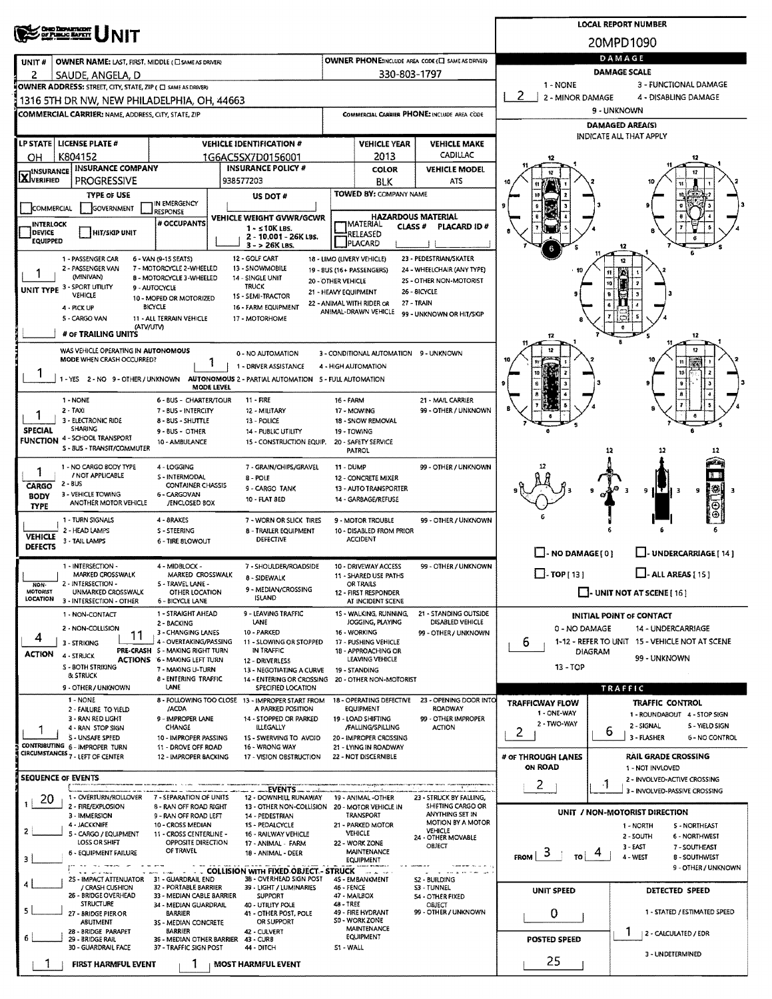|                                                                                                                                                                                                                                                                                                                                                   | <b>CHO DEPARTMENT</b><br>OF PUBLIC RAPRY                                                                                                                                                       |                                                           | <b>LOCAL REPORT NUMBER</b>                               |                                                                         |                                              |                                                               |                                                               |                            |                                                                  |                                                               |  |  |  |
|---------------------------------------------------------------------------------------------------------------------------------------------------------------------------------------------------------------------------------------------------------------------------------------------------------------------------------------------------|------------------------------------------------------------------------------------------------------------------------------------------------------------------------------------------------|-----------------------------------------------------------|----------------------------------------------------------|-------------------------------------------------------------------------|----------------------------------------------|---------------------------------------------------------------|---------------------------------------------------------------|----------------------------|------------------------------------------------------------------|---------------------------------------------------------------|--|--|--|
|                                                                                                                                                                                                                                                                                                                                                   |                                                                                                                                                                                                |                                                           |                                                          |                                                                         |                                              |                                                               |                                                               |                            | 20MPD1090                                                        |                                                               |  |  |  |
| UNIT #                                                                                                                                                                                                                                                                                                                                            | OWNER NAME: LAST, FIRST, MIDDLE (C) SAME AS DRIVER)                                                                                                                                            |                                                           | DAMAGE                                                   |                                                                         |                                              |                                                               |                                                               |                            |                                                                  |                                                               |  |  |  |
| 2                                                                                                                                                                                                                                                                                                                                                 | SAUDE, ANGELA, D<br>OWNER ADDRESS: STREET, CITY, STATE, ZIP ( C SAME AS DRIVER)                                                                                                                |                                                           | <b>DAMAGE SCALE</b><br>1 - NONE<br>3 - FUNCTIONAL DAMAGE |                                                                         |                                              |                                                               |                                                               |                            |                                                                  |                                                               |  |  |  |
|                                                                                                                                                                                                                                                                                                                                                   | 1316 5TH DR NW, NEW PHILADELPHIA, OH, 44663                                                                                                                                                    |                                                           | 2<br>2 - MINOR DAMAGE                                    |                                                                         | 4 - DISABLING DAMAGE                         |                                                               |                                                               |                            |                                                                  |                                                               |  |  |  |
|                                                                                                                                                                                                                                                                                                                                                   | <b>COMMERCIAL CARRIER: NAME, ADDRESS, CITY, STATE, ZIP</b>                                                                                                                                     |                                                           |                                                          |                                                                         |                                              |                                                               | COMMERCIAL CARRIER PHONE: INCLUDE AREA CODE                   |                            | 9 - UNKNOWN                                                      |                                                               |  |  |  |
|                                                                                                                                                                                                                                                                                                                                                   |                                                                                                                                                                                                |                                                           |                                                          |                                                                         |                                              |                                                               |                                                               |                            | <b>DAMAGED AREA(S)</b><br><b>INDICATE ALL THAT APPLY</b>         |                                                               |  |  |  |
|                                                                                                                                                                                                                                                                                                                                                   | LP STATE   LICENSE PLATE #                                                                                                                                                                     |                                                           |                                                          | <b>VEHICLE IDENTIFICATION #</b>                                         |                                              | <b>VEHICLE YEAR</b>                                           | <b>VEHICLE MAKE</b><br>CADILLAC                               |                            |                                                                  |                                                               |  |  |  |
| OН<br><b>INSURANCE</b>                                                                                                                                                                                                                                                                                                                            | K804152<br><b>INSURANCE COMPANY</b>                                                                                                                                                            |                                                           |                                                          | 1G6AC5SX7D0156001<br><b>INSURANCE POLICY #</b>                          |                                              | 2013<br><b>COLOR</b>                                          | <b>VEHICLE MODEL</b>                                          |                            |                                                                  |                                                               |  |  |  |
| <b>X</b> VERIFIED                                                                                                                                                                                                                                                                                                                                 | PROGRESSIVE                                                                                                                                                                                    |                                                           |                                                          | 938577203                                                               |                                              | <b>BLK</b>                                                    | ATS                                                           |                            |                                                                  |                                                               |  |  |  |
|                                                                                                                                                                                                                                                                                                                                                   | <b>TYPE OF USE</b>                                                                                                                                                                             | IN EMERGENCY                                              |                                                          | US DOT #                                                                |                                              | TOWED BY: COMPANY NAME                                        |                                                               |                            |                                                                  |                                                               |  |  |  |
| <b>COMMERCIAL</b><br><b>INTERLOCK</b>                                                                                                                                                                                                                                                                                                             | GOVERNMENT                                                                                                                                                                                     |                                                           | VEHICLE WEIGHT GVWR/GCWR                                 |                                                                         | <b>MATERIAL</b>                              | <b>HAZARDOUS MATERIAL</b>                                     |                                                               |                            |                                                                  |                                                               |  |  |  |
| DEVICE<br><b>EQUIPPED</b>                                                                                                                                                                                                                                                                                                                         | <b>HIT/SKIP UNIT</b>                                                                                                                                                                           | # OCCUPANTS                                               |                                                          | $1 - 510K$ LBS.<br>2 - 10.001 - 26K LBS.                                |                                              | <b>CLASS#</b><br>RELEASED                                     | PLACARD ID#                                                   |                            |                                                                  |                                                               |  |  |  |
|                                                                                                                                                                                                                                                                                                                                                   |                                                                                                                                                                                                |                                                           |                                                          | $3 - 26K$ LBS.                                                          |                                              | <b>PLACARD</b>                                                |                                                               |                            | 12                                                               |                                                               |  |  |  |
| 12 - GOLF CART<br>23 - PEDESTRIAN/SKATER<br>1 - PASSENGER CAR<br>6 - VAN (9-15 SEATS)<br>18 - LIMO (LIVERY VEHICLE)<br>7 - MOTORCYCLE 2-WHEELED<br>13 - SNOWMOBILE<br>2 - PASSENGER VAN<br>24 - WHEELCHAIR (ANY TYPE)<br>19 - BUS (16+ PASSENGERS)<br>(MINIVAN)<br><b>B - MOTORCYCLE 3-WHEELED</b><br>14 - SINGLE UNIT<br>25 - OTHER NON-MOTORIST |                                                                                                                                                                                                |                                                           |                                                          |                                                                         |                                              |                                                               |                                                               |                            |                                                                  |                                                               |  |  |  |
|                                                                                                                                                                                                                                                                                                                                                   | UNIT TYPE 3 - SPORT UTILITY                                                                                                                                                                    | 9 - AUTOCYCLE                                             |                                                          |                                                                         |                                              |                                                               |                                                               |                            |                                                                  |                                                               |  |  |  |
|                                                                                                                                                                                                                                                                                                                                                   | VEHICLE<br>4 - PICK UP                                                                                                                                                                         | 10 - MOPED OR MOTORIZED<br><b>BICYCLE</b>                 |                                                          |                                                                         |                                              |                                                               |                                                               |                            |                                                                  |                                                               |  |  |  |
|                                                                                                                                                                                                                                                                                                                                                   | 5 - CARGO VAN<br>(ATV/UTV)                                                                                                                                                                     | 11 - ALL TERRAIN VEHICLE                                  |                                                          | 17 - MOTORHOME                                                          |                                              | ANIMAL-DRAWN VEHICLE                                          | 99 - UNKNOWN OR HIT/SKIP                                      |                            |                                                                  |                                                               |  |  |  |
|                                                                                                                                                                                                                                                                                                                                                   | # OF TRAILING UNITS                                                                                                                                                                            |                                                           |                                                          |                                                                         |                                              |                                                               |                                                               |                            | s                                                                | 12                                                            |  |  |  |
|                                                                                                                                                                                                                                                                                                                                                   | WAS VEHICLE OPERATING IN AUTONOMOUS<br>MODE WHEN CRASH OCCURRED?                                                                                                                               |                                                           |                                                          | 0 - NO AUTOMATION<br>1 - DRIVER ASSISTANCE                              |                                              | 3 - CONDITIONAL AUTOMATION 9 - UNKNOWN<br>4 - HIGH AUTOMATION |                                                               |                            |                                                                  | $^{12}$<br>n                                                  |  |  |  |
|                                                                                                                                                                                                                                                                                                                                                   | 1 - YES 2 - NO 9 - OTHER / UNKNOWN                                                                                                                                                             |                                                           |                                                          |                                                                         |                                              | w                                                             |                                                               |                            |                                                                  |                                                               |  |  |  |
|                                                                                                                                                                                                                                                                                                                                                   |                                                                                                                                                                                                |                                                           | MODE LEVEL                                               | AUTONOMOUS 2 - PARTIAL AUTOMATION 5 - FULL AUTOMATION                   |                                              |                                                               |                                                               |                            |                                                                  |                                                               |  |  |  |
|                                                                                                                                                                                                                                                                                                                                                   | 1 - NONE<br>$2 - TAXi$                                                                                                                                                                         | 6 - BUS - CHARTER/TOUR<br>7 - BUS - INTERCITY             |                                                          | $11 -$ FIRE<br>12 - MILITARY                                            | <b>16 - FARM</b>                             | 17 - MOWING                                                   | 21 - MAIL CARRIER<br>99 - OTHER / UNKNOWN                     |                            |                                                                  |                                                               |  |  |  |
| 1<br><b>SPECIAL</b>                                                                                                                                                                                                                                                                                                                               | 3 - ELECTRONIC RIDE<br>SHARING                                                                                                                                                                 | 8 - BUS - SHUTTLE<br>9 - BUS - OTHER                      |                                                          | 13 - POLICE<br>14 - PUBLIC UTILITY                                      |                                              | 18 - SNOW REMOVAL<br>19 - TOWING                              |                                                               |                            |                                                                  |                                                               |  |  |  |
| <b>FUNCTION</b>                                                                                                                                                                                                                                                                                                                                   | 4 - SCHOOL TRANSPORT<br>S - BUS - TRANSIT/COMMUTER                                                                                                                                             | 10 - AMBULANCE                                            |                                                          | 15 - CONSTRUCTION EQUIP.                                                |                                              | 20 - SAFETY SERVICE                                           |                                                               |                            |                                                                  |                                                               |  |  |  |
|                                                                                                                                                                                                                                                                                                                                                   |                                                                                                                                                                                                |                                                           |                                                          |                                                                         |                                              | PATROL                                                        |                                                               |                            |                                                                  |                                                               |  |  |  |
| 1 - NO CARGO BODY TYPE<br>4 - LOGGING<br>7 - GRAIN/CHIPS/GRAVEL<br>1<br>/ NOT APPLICABLE<br>S - INTERMODAL<br>8 - POLE                                                                                                                                                                                                                            |                                                                                                                                                                                                |                                                           |                                                          |                                                                         |                                              | 11 - DUMP<br>12 - CONCRETE MIXER                              | 99 - OTHER / UNKNOWN                                          |                            |                                                                  |                                                               |  |  |  |
| <b>CARGO</b><br><b>BODY</b>                                                                                                                                                                                                                                                                                                                       | $2 - BUS$<br>3 - VEHICLE TOWING                                                                                                                                                                | <b>CONTAINER CHASSIS</b><br>6 - CARGOVAN                  |                                                          | 9 - CARGO TANK<br>10 - FLAT BED                                         |                                              | 13 - AUTO TRANSPORTER<br>14 - GARBAGE/REFUSE                  |                                                               |                            | 9 H T H                                                          | 9                                                             |  |  |  |
| <b>TYPE</b>                                                                                                                                                                                                                                                                                                                                       | ANOTHER MOTOR VEHICLE                                                                                                                                                                          | /ENCLOSED BOX                                             |                                                          |                                                                         |                                              |                                                               |                                                               |                            |                                                                  |                                                               |  |  |  |
|                                                                                                                                                                                                                                                                                                                                                   | 1 - TURN SIGNALS<br>2 - HEAD LAMPS                                                                                                                                                             | 4 - 8RAKES<br>S-STEERING                                  |                                                          | 7 - WORN OR SLICK TIRES<br><b>B - TRAILER EQUIPMENT</b>                 |                                              | 9 - MOTOR TROUBLE<br>10 - DISABLED FROM PRIOR                 | 99 - OTHER / UNKNOWN                                          |                            |                                                                  |                                                               |  |  |  |
| <b>VEHICLE</b><br><b>DEFECTS</b>                                                                                                                                                                                                                                                                                                                  | 3 - TAIL LAMPS                                                                                                                                                                                 | 6 - TIRE 81 OWOUT                                         |                                                          | <b>DEFECTIVE</b>                                                        |                                              | <b>ACCIDENT</b>                                               |                                                               | L - NO DAMAGE[0]           |                                                                  | U-UNDERCARRIAGE [ 14 ]                                        |  |  |  |
|                                                                                                                                                                                                                                                                                                                                                   | 1 - INTERSECTION -                                                                                                                                                                             | 4 - MIDBLOCK -                                            |                                                          | 7 - SHOULDER/ROADSIDE                                                   | 10 - DRIVEWAY ACCESS<br>99 - OTHER / UNKNOWN |                                                               |                                                               |                            |                                                                  |                                                               |  |  |  |
| NON-                                                                                                                                                                                                                                                                                                                                              | MARKED CROSSWALK<br>2 - INTERSECTION -                                                                                                                                                         | MARKED CROSSWALK<br>5 - TRAVEL LANE -                     |                                                          | 8 - SIDEWALK                                                            |                                              | 11 - SHARED USE PATHS<br>OR IRAILS                            |                                                               | $\Box$ -TOP[13]            |                                                                  | $\Box$ - ALL AREAS [ 15]                                      |  |  |  |
| <b>MOTORIST</b><br><b>LOCATION</b>                                                                                                                                                                                                                                                                                                                | UNMARKED CROSSWALK<br>3 - INTERSECTION - OTHER                                                                                                                                                 | OTHER LOCATION<br><b>6 - BICYCLE LANE</b>                 |                                                          | 9 - MEDIAN/CROSSING<br><b>ISLAND</b>                                    |                                              | 12 - FIRST RESPONDER<br>AT INCIDENT SCENE                     |                                                               |                            | $\Box$ - UNIT NOT AT SCENE [ 16 ]                                |                                                               |  |  |  |
|                                                                                                                                                                                                                                                                                                                                                   | 1 - NON-CONTACT                                                                                                                                                                                | 1 - STRAIGHT AHEAD                                        |                                                          | 9 - LEAVING TRAFFIC<br>LANE                                             |                                              | 1S - WALKING, RUNNING,<br>JOGGING, PLAYING                    | 21 - STANDING OUTSIDE<br>DISABLED VEHICLE                     |                            | <b>INITIAL POINT OF CONTACT</b>                                  |                                                               |  |  |  |
| 4                                                                                                                                                                                                                                                                                                                                                 | 2 - NON-COLLISION<br>11                                                                                                                                                                        | 2 - BACKING<br>3 - CHANGING LANES                         |                                                          | 10 - PARKED                                                             |                                              | 16 - WORKING                                                  | 99 - OTHER / UNKNOWN                                          | 0 - NO DAMAGE              |                                                                  | 14 - UNDERCARRIAGE                                            |  |  |  |
| <b>ACTION</b>                                                                                                                                                                                                                                                                                                                                     | 3 - STRIKING<br>4 - STRUCK                                                                                                                                                                     | 4 - OVERTAKING/PASSING<br>PRE-CRASH S - MAKING RIGHT TURN |                                                          | 11 - SLOWING OR STOPPED<br>IN TRAFFIC                                   |                                              | 17 - PUSHING VEHICLE<br>18 - APPROACHING OR                   |                                                               | ь                          | 1-12 - REFER TO UNIT 15 - VEHICLE NOT AT SCENE<br><b>DIAGRAM</b> |                                                               |  |  |  |
|                                                                                                                                                                                                                                                                                                                                                   | <b>S-BOTH STRIKING</b>                                                                                                                                                                         | <b>ACTIONS 6 - MAKING LEFT TURN</b><br>7 - MAKING U-TURN  |                                                          | 12 - DRIVERLESS<br>13 - NEGOTIATING A CURVE                             |                                              | LEAVING VEHICLE<br>19 - STANDING                              |                                                               | 13 - TOP                   | 99 - UNKNOWN                                                     |                                                               |  |  |  |
|                                                                                                                                                                                                                                                                                                                                                   | & STRUCK<br>9 - OTHER / UNKNOWN                                                                                                                                                                | 8 - ENTERING TRAFFIC<br>LANE                              |                                                          | 14 - ENTERING OR CROSSING 20 - OTHER NON-MOTORIST<br>SPECIFIED LOCATION |                                              |                                                               |                                                               |                            | TRAFFIC                                                          |                                                               |  |  |  |
|                                                                                                                                                                                                                                                                                                                                                   | 1 - NONE<br>2 - FAILURE TO YIELD                                                                                                                                                               | /ACDA                                                     |                                                          | 8 - FOLLOWING TOO CLOSE 13 - IMPROPER START FROM<br>A PARKED POSITION   |                                              | 18 - OPERATING DEFECTIVE<br><b>EQUIPMENT</b>                  | 23 - OPENING DOOR INTO<br>ROADWAY                             | <b>TRAFFICWAY FLOW</b>     |                                                                  | TRAFFIC CONTROL                                               |  |  |  |
|                                                                                                                                                                                                                                                                                                                                                   | 3 - RAN RED LIGHT                                                                                                                                                                              | 9 - IMPROPER LANE                                         |                                                          | 14 - STOPPED OR PARKED                                                  |                                              | 19 - LOAD SHIFTING                                            | 99 - OTHER IMPROPER                                           | 1 - ONE WAY<br>2 - TWO-WAY | 2 - SIGNAL                                                       | 1 - ROUNDABOUT 4 - STOP SIGN<br>5 - YIELD SIGN                |  |  |  |
|                                                                                                                                                                                                                                                                                                                                                   | 4 - RAN STOP SIGN<br>S - UNSAFE SPEED                                                                                                                                                          | <b>CHANGE</b><br>10 - IMPROPER PASSING                    |                                                          | <b>ILLEGALLY</b><br>1S - SWERVING TO AVOID                              |                                              | /FALLING/SPILLING<br>20 - IMPROPER CROSSING                   | <b>ACTION</b>                                                 | 2                          | 6<br>3 - FLASHER                                                 | <b>6 - NO CONTROL</b>                                         |  |  |  |
|                                                                                                                                                                                                                                                                                                                                                   | CONTRIGUTING 6 - IMPROPER TURN<br>CIRCUMSTANCES <sub>7</sub> - LEFT OF CENTER                                                                                                                  | 11 - DROVE OFF ROAD<br>12 - IMPROPER BACKING              |                                                          | 16 - WRONG WAY<br>17 - VISION OBSTRUCTION                               |                                              | 21 - LYING IN ROADWAY<br>22 - NOT DISCERNIBLE                 |                                                               | # OF THROUGH LANES         |                                                                  | <b>RAIL GRADE CROSSING</b>                                    |  |  |  |
|                                                                                                                                                                                                                                                                                                                                                   | <b>SEQUENCE OF EVENTS</b>                                                                                                                                                                      |                                                           |                                                          |                                                                         |                                              |                                                               |                                                               | <b>ON ROAD</b>             | 1 - NOT INVLOVED                                                 |                                                               |  |  |  |
|                                                                                                                                                                                                                                                                                                                                                   |                                                                                                                                                                                                |                                                           |                                                          | ___ EVENTS __ _                                                         |                                              |                                                               |                                                               | 2                          | ٠Т                                                               | 2 - INVOLVED-ACTIVE CROSSING<br>3 - INVOLVED-PASSIVE CROSSING |  |  |  |
| 20                                                                                                                                                                                                                                                                                                                                                | 1 - OVERTURN/ROLLOVER<br>2 - FIRE/EXPLOSION                                                                                                                                                    | 7 - SEPARATION OF UNITS<br>8 - RAN OFF ROAD RIGHT         |                                                          | 12 - DOWNHILL RUNAWAY<br>13 - OTHER NON-COLLISION 20 - MOTOR VEHICLE IN |                                              | 19 - ANIMAL-OTHER                                             | 23 - STRUCK BY FALLING,<br>SHIFTING CARGO OR                  |                            | UNIT / NON-MOTORIST DIRECTION                                    |                                                               |  |  |  |
|                                                                                                                                                                                                                                                                                                                                                   | 3 - IMMERSION<br>4 - JACKKNIFE                                                                                                                                                                 | 9 - RAN OFF ROAD LEFT<br>10 - CROSS MEDIAN                |                                                          | 14 - PEDESTRIAN<br>15 - PEDALCYCLE                                      |                                              | <b>TRANSPORT</b><br>21 - PARKED MOTOR                         | ANYTHING SET IN<br><b>MOTION BY A MOTOR</b><br><b>VEHICLE</b> |                            | 1 - NORTH                                                        | S - NORTHEAST                                                 |  |  |  |
| 2                                                                                                                                                                                                                                                                                                                                                 | 5 - CARGO / EQUIPMENT<br>LOSS OR SHIFT                                                                                                                                                         | 11 - CROSS CENTERLINE -<br>OPPOSITE DIRECTION             |                                                          | 16 - RAJLWAY VEHICLE<br>17 - ANIMAL - FARM                              |                                              | <b>VEHICLE</b><br>22 - WORK ZONE                              | 24 - OTHER MOVABLE<br>OBJECT                                  |                            | 2 - SOUTH<br>$3 - EAST$                                          | 6 - NORTHWEST<br>7 - SOUTHEAST                                |  |  |  |
| з                                                                                                                                                                                                                                                                                                                                                 | 6 - EQUIPMENT FAILURE                                                                                                                                                                          | OF TRAVEL                                                 |                                                          | 18 - ANIMAL - DEER                                                      |                                              | <b>MAINTENANCE</b><br>EQUIPMENT                               |                                                               | 3 I<br>FROM<br>τoΙ         | 4<br>4 - WEST                                                    | <b>8 - SOUTHWEST</b>                                          |  |  |  |
|                                                                                                                                                                                                                                                                                                                                                   | a na mai manana<br>2S - IMPACT ATTENUATOR 31 - GUARDRAIL END                                                                                                                                   |                                                           |                                                          | COLLISION WITH FIXED OBJECT - STRUCK<br>3B - OVERHEAD SIGN POST         |                                              | 45 - EMBANKMENT                                               | S2 - BUILDING                                                 |                            |                                                                  | 9 - OTHER / UNKNOWN                                           |  |  |  |
|                                                                                                                                                                                                                                                                                                                                                   | / CRASH CUSHION<br>26 - BRIDGE OVERHEAD                                                                                                                                                        | 32 - PORTABLE BARRIER<br>33 - MEDIAN CABLE BARRIER        |                                                          | 39 - LIGHT / LUMINARIES<br><b>SUPPORT</b>                               | 46 - FENCE                                   | 47 - MAILBOX                                                  | S3 - TUNNEL<br>54 - OTHER FIXED                               | <b>UNIT SPEED</b>          |                                                                  | DETECTED SPEED                                                |  |  |  |
| 5                                                                                                                                                                                                                                                                                                                                                 | <b>STRUCTURE</b><br>27 - BRIDGE PIER OR                                                                                                                                                        | 34 - MEDIAN GUARDRAIL<br>BARRIER                          |                                                          | 40 - UTILITY POLE<br>41 - OTHER POST, POLE                              | 48 - TREE                                    | 49 - FIRE HYDRANT                                             | OBJECT<br>99 - OTHER / UNKNOWN                                | 0                          |                                                                  | 1 - STATED / ESTIMATED SPEED                                  |  |  |  |
|                                                                                                                                                                                                                                                                                                                                                   | <b>ABUTMENT</b>                                                                                                                                                                                | 3S - MEDIAN CONCRETE<br><b>BARRIER</b>                    |                                                          | OR SUPPORT                                                              |                                              | SO - WORK ZONE<br><b>MAINTENANCE</b>                          |                                                               |                            |                                                                  |                                                               |  |  |  |
|                                                                                                                                                                                                                                                                                                                                                   | 28 - BRIDGE PARAPET<br>42 - CULVERT<br><b>EQUIPMENT</b><br>36 - MEDIAN OTHER BARRIER 43 - CURB<br>29 - BRIDGE RAIL<br>30 - GUARDRAIL FACE<br>37 - TRAFFIC SIGN POST<br>51 - WALL<br>44 - DITCH |                                                           |                                                          |                                                                         |                                              |                                                               |                                                               | <b>POSTED SPEED</b>        | 2 - CALCULATED / EDR                                             |                                                               |  |  |  |
|                                                                                                                                                                                                                                                                                                                                                   | <b>FIRST HARMFUL EVENT</b>                                                                                                                                                                     |                                                           |                                                          | 3 - UNDETERMINED<br>25                                                  |                                              |                                                               |                                                               |                            |                                                                  |                                                               |  |  |  |
|                                                                                                                                                                                                                                                                                                                                                   |                                                                                                                                                                                                |                                                           |                                                          | <b>MOST HARMFUL EVENT</b>                                               |                                              |                                                               |                                                               |                            |                                                                  |                                                               |  |  |  |